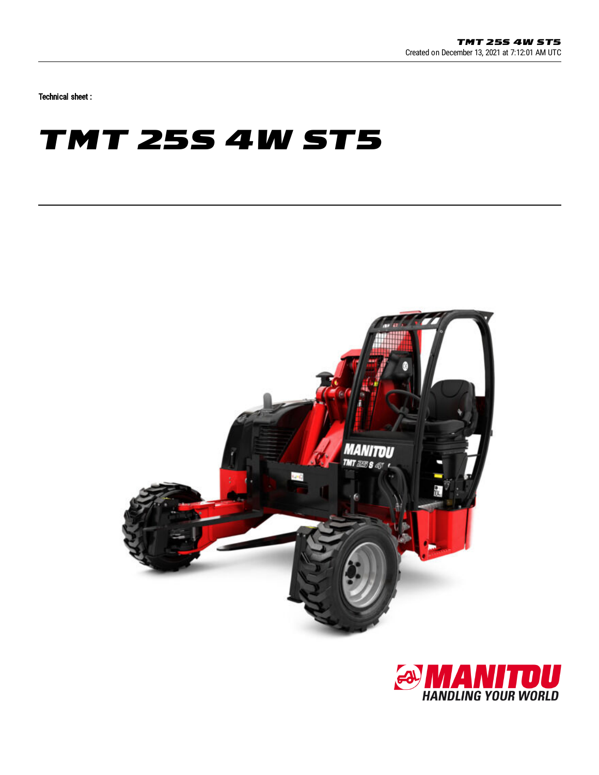Technical sheet :

## **TMT 25S 4W ST5**



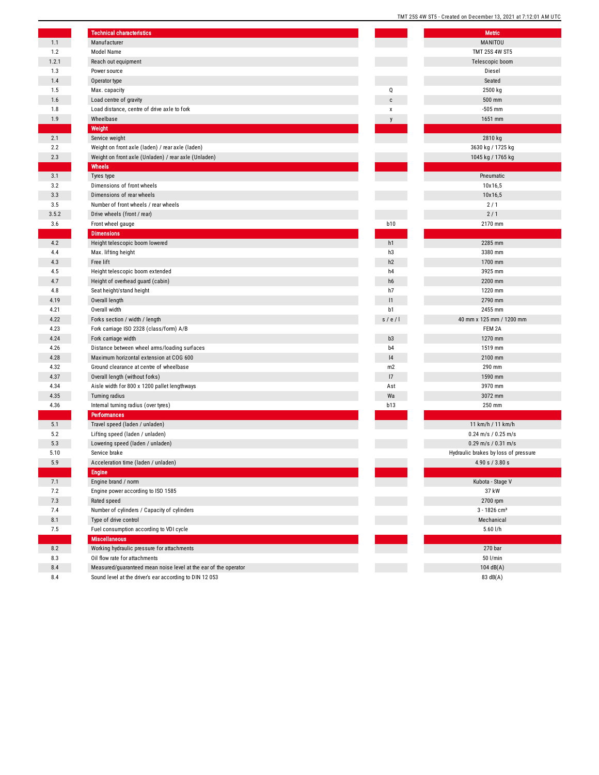|       | <b>Technical characteristics</b>                                |                | Metric                               |
|-------|-----------------------------------------------------------------|----------------|--------------------------------------|
| 1.1   | Manufacturer                                                    |                | MANITOU                              |
| 1.2   | Model Name                                                      |                | <b>TMT 25S 4W ST5</b>                |
| 1.2.1 | Reach out equipment                                             |                | Telescopic boom                      |
| 1.3   | Power source                                                    |                | Diesel                               |
| 1.4   | Operator type                                                   |                | Seated                               |
| 1.5   | Max. capacity                                                   | 0              | 2500 kg                              |
| 1.6   | Load centre of gravity                                          | C              | 500 mm                               |
| 1.8   | Load distance, centre of drive axle to fork                     | χ              | $-505$ mm                            |
| 1.9   | Wheelbase                                                       | $\mathsf{V}$   | 1651 mm                              |
|       | Weight                                                          |                |                                      |
| 2.1   | Service weight                                                  |                | 2810 kg                              |
| 2.2   | Weight on front axle (laden) / rear axle (laden)                |                | 3630 kg / 1725 kg                    |
| 2.3   | Weight on front axle (Unladen) / rear axle (Unladen)            |                | 1045 kg / 1765 kg                    |
|       | Wheels                                                          |                |                                      |
| 3.1   | Tyres type                                                      |                | Pneumatic                            |
| 3.2   | Dimensions of front wheels                                      |                | 10x16,5                              |
| 3.3   | Dimensions of rear wheels                                       |                | 10x16,5                              |
| 3.5   | Number of front wheels / rear wheels                            |                | 2/1                                  |
| 3.5.2 | Drive wheels (front / rear)                                     |                | 2/1                                  |
| 3.6   | Front wheel gauge                                               | <b>b10</b>     | 2170 mm                              |
|       | <b>Dimensions</b>                                               |                |                                      |
| 4.2   | Height telescopic boom lowered                                  | h1             | 2285 mm                              |
| 4.4   | Max. lifting height                                             | h3             | 3380 mm                              |
| 4.3   | Free lift                                                       | h2             | 1700 mm                              |
| 4.5   | Height telescopic boom extended                                 | h4             | 3925 mm                              |
| 4.7   | Height of overhead guard (cabin)                                | h6             | 2200 mm                              |
| 4.8   | Seat height/stand height                                        | h7             | 1220 mm                              |
| 4.19  | Overall length                                                  | 1              | 2790 mm                              |
| 4.21  | Overall width                                                   | b <sub>1</sub> | 2455 mm                              |
| 4.22  | Forks section / width / length                                  | s/e/l          | 40 mm x 125 mm / 1200 mm             |
| 4.23  | Fork carriage ISO 2328 (class/form) A/B                         |                | FEM 2A                               |
| 4.24  | Fork carriage width                                             | b3             | 1270 mm                              |
| 4.26  | Distance between wheel arms/loading surfaces                    | b <sub>4</sub> | 1519 mm                              |
| 4.28  | Maximum horizontal extension at COG 600                         | 4              | 2100 mm                              |
| 4.32  | Ground clearance at centre of wheelbase                         | m2             | 290 mm                               |
| 4.37  | Overall length (without forks)                                  | 17             | 1590 mm                              |
| 4.34  | Aisle width for 800 x 1200 pallet lengthways                    | Ast            | 3970 mm                              |
| 4.35  | Turning radius                                                  | Wa             | 3072 mm                              |
| 4.36  | Internal turning radius (over tyres)                            | <b>b13</b>     | 250 mm                               |
|       | <b>Performances</b>                                             |                |                                      |
| 5.1   | Travel speed (laden / unladen)                                  |                | 11 km/h / 11 km/h                    |
| 5.2   | Lifting speed (laden / unladen)                                 |                | $0.24$ m/s / $0.25$ m/s              |
| 5.3   | Lowering speed (laden / unladen)                                |                | $0.29$ m/s / $0.31$ m/s              |
| 5.10  | Service brake                                                   |                | Hydraulic brakes by loss of pressure |
| 5.9   | Acceleration time (laden / unladen)                             |                | 4.90 s / 3.80 s                      |
|       | <b>Engine</b>                                                   |                |                                      |
| 7.1   | Engine brand / norm                                             |                | Kubota - Stage V                     |
| 7.2   | Engine power according to ISO 1585                              |                | 37 kW                                |
| 7.3   | Rated speed                                                     |                | 2700 rpm                             |
| 7.4   | Number of cylinders / Capacity of cylinders                     |                | $3 - 1826$ cm <sup>3</sup>           |
| 8.1   | Type of drive control                                           |                | Mechanical                           |
| 7.5   | Fuel consumption according to VDI cycle                         |                | $5.60$ I/h                           |
|       | <b>Miscellaneous</b>                                            |                |                                      |
| 8.2   | Working hydraulic pressure for attachments                      |                | 270 <sub>bar</sub>                   |
| 8.3   | Oil flow rate for attachments                                   |                | 50 l/min                             |
| 8.4   | Measured/guaranteed mean noise level at the ear of the operator |                | 104 $dB(A)$                          |
| 8.4   | Sound level at the driver's ear according to DIN 12 053         |                | 83 dB(A)                             |

|                | <b>Metric</b>                          |
|----------------|----------------------------------------|
|                | MANITOU                                |
|                | <b>TMT 25S 4W ST5</b>                  |
|                | Telescopic boom                        |
|                | Diesel                                 |
|                | Seated                                 |
| Q              | 2500 kg                                |
| C              | 500 mm                                 |
| X              | $-505$ mm                              |
| у              | 1651 mm                                |
|                |                                        |
|                | 2810 kg                                |
|                | 3630 kg / 1725 kg                      |
|                | 1045 kg / 1765 kg                      |
|                |                                        |
|                | Pneumatic                              |
|                | 10x16,5                                |
|                | 10x16,5                                |
|                | 2/1                                    |
|                | 2/1                                    |
| <b>b10</b>     | 2170 mm                                |
|                |                                        |
| h1             | 2285 mm                                |
| h3             | 3380 mm                                |
| h2             | 1700 mm                                |
| h4             | 3925 mm                                |
| h6             | 2200 mm                                |
| h7             | 1220 mm                                |
| 1              | 2790 mm                                |
| b1             | 2455 mm                                |
| s / e / I      | 40 mm x 125 mm / 1200 mm               |
|                | FEM 2A                                 |
| b <sub>3</sub> | 1270 mm                                |
| b4             | 1519 mm                                |
| 4              | 2100 mm                                |
| m2             | 290 mm                                 |
| 17             | 1590 mm                                |
| Ast            | 3970 mm                                |
| Wa             | 3072 mm                                |
| <b>b13</b>     | 250 mm                                 |
|                |                                        |
|                | 11 km/h / 11 km/h                      |
|                | $0.24$ m/s / $0.25$ m/s                |
|                | $0.29$ m/s / $0.31$ m/s                |
|                | Hydraulic brakes by loss of pressure   |
|                | 4.90 s / 3.80 s                        |
|                | Kubota - Stage V                       |
|                | 37 kW                                  |
|                |                                        |
|                | 2700 rpm<br>$3 - 1826$ cm <sup>3</sup> |
|                | Mechanical                             |
|                | 5.60 l/h                               |
|                |                                        |
|                | 270 bar                                |
|                | 50 l/min                               |
|                | 104dB(A)                               |
|                | 83 dB(A)                               |

TMT 25S 4W ST5 - Created on December 13, 2021 at 7:12:01 AM UTC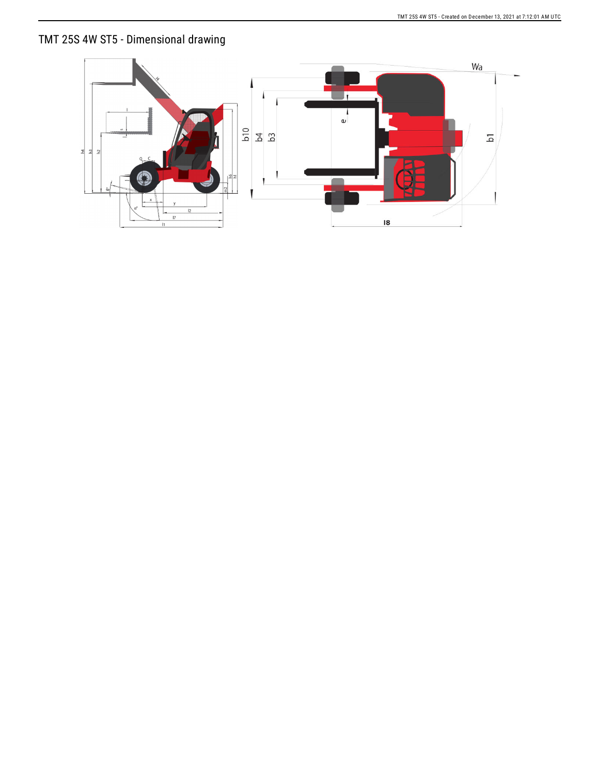## TMT 25S 4W ST5 - Dimensional drawing